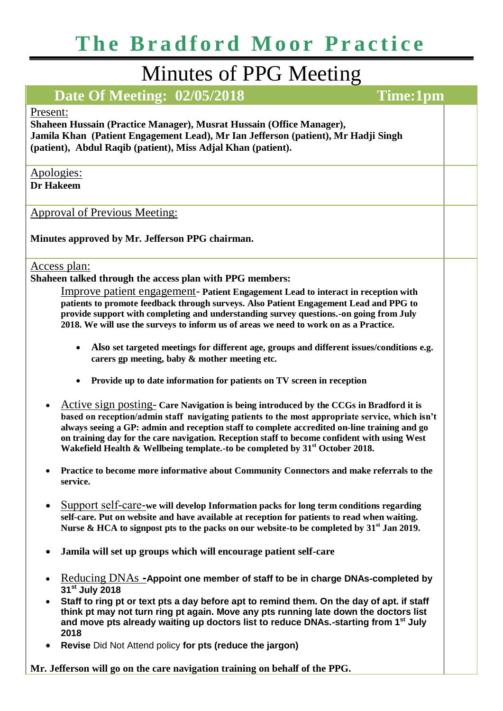# **The Bradford Moor Practice**

## Minutes of PPG Meeting

### **Date Of Meeting: 02/05/2018 Time:1pm**

#### Present:

**Shaheen Hussain (Practice Manager), Musrat Hussain (Office Manager), Jamila Khan (Patient Engagement Lead), Mr Ian Jefferson (patient), Mr Hadji Singh (patient), Abdul Raqib (patient), Miss Adjal Khan (patient).**

Apologies: **Dr Hakeem**

Approval of Previous Meeting:

**Minutes approved by Mr. Jefferson PPG chairman.** 

Access plan:

**Shaheen talked through the access plan with PPG members:**

Improve patient engagement- **Patient Engagement Lead to interact in reception with patients to promote feedback through surveys. Also Patient Engagement Lead and PPG to provide support with completing and understanding survey questions.-on going from July 2018. We will use the surveys to inform us of areas we need to work on as a Practice.** 

- **Also set targeted meetings for different age, groups and different issues/conditions e.g. carers gp meeting, baby & mother meeting etc.**
- **Provide up to date information for patients on TV screen in reception**
- Active sign posting- **Care Navigation is being introduced by the CCGs in Bradford it is based on reception/admin staff navigating patients to the most appropriate service, which isn't always seeing a GP: admin and reception staff to complete accredited on-line training and go on training day for the care navigation. Reception staff to become confident with using West Wakefield Health & Wellbeing template.-to be completed by 31st October 2018.**
- **Practice to become more informative about Community Connectors and make referrals to the service.**
- Support self-care-**we will develop Information packs for long term conditions regarding self-care. Put on website and have available at reception for patients to read when waiting. Nurse & HCA to signpost pts to the packs on our website-to be completed by 31st Jan 2019.**
- **Jamila will set up groups which will encourage patient self-care**
- Reducing DNAs **-Appoint one member of staff to be in charge DNAs-completed by 31st July 2018**
- **Staff to ring pt or text pts a day before apt to remind them. On the day of apt. if staff think pt may not turn ring pt again. Move any pts running late down the doctors list and move pts already waiting up doctors list to reduce DNAs.-starting from 1st July 2018**
- **Revise** Did Not Attend policy **for pts (reduce the jargon)**

**Mr. Jefferson will go on the care navigation training on behalf of the PPG.**